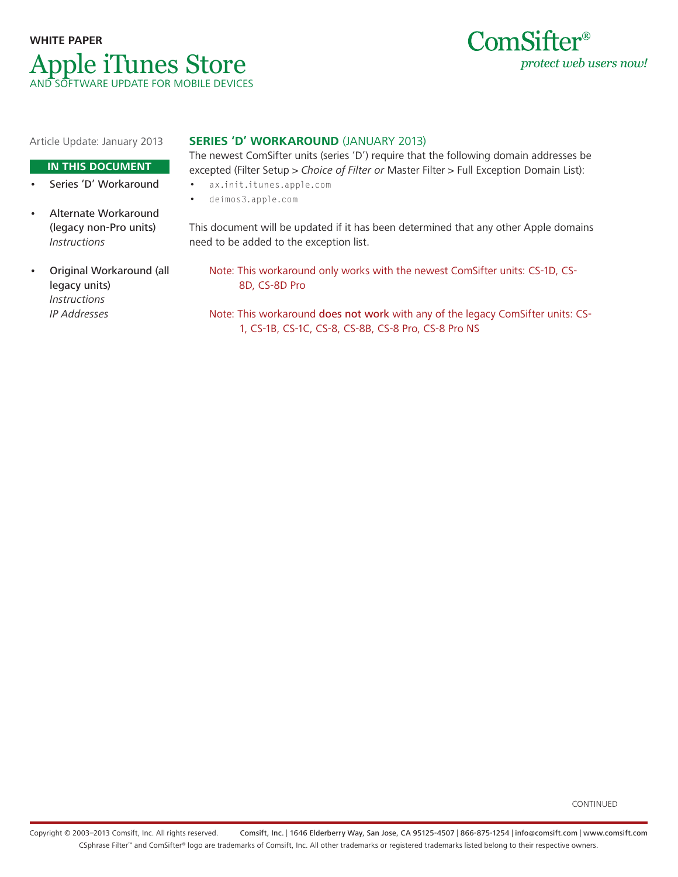



Article Update: January 2013

# **IN THIS DOCUMENT**

- Series 'D' Workaround
- Alternate Workaround (legacy non-Pro units) Instructions
- Original Workaround (all legacy units) Instructions IP Addresses

# **SERIES 'D' WORKAROUND** (JANUARY 2013)

The newest ComSifter units (series 'D') require that the following domain addresses be excepted (Filter Setup > Choice of Filter or Master Filter > Full Exception Domain List):

- ax.init.itunes.apple.com
- deimos3.apple.com

This document will be updated if it has been determined that any other Apple domains need to be added to the exception list.

- Note: This workaround only works with the newest ComSifter units: CS-1D, CS-8D, CS-8D Pro
- Note: This workaround does not work with any of the legacy ComSifter units: CS-1, CS-1B, CS-1C, CS-8, CS-8B, CS-8 Pro, CS-8 Pro NS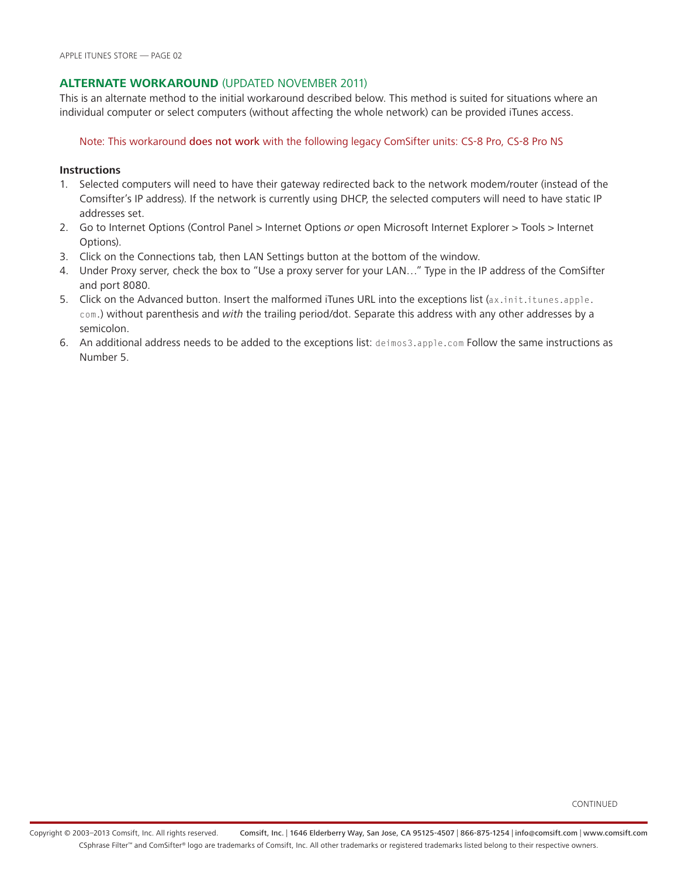# **Alternate Workaround** (updated November 2011)

This is an alternate method to the initial workaround described below. This method is suited for situations where an individual computer or select computers (without affecting the whole network) can be provided iTunes access.

Note: This workaround does not work with the following legacy ComSifter units: CS-8 Pro, CS-8 Pro NS

# **Instructions**

- 1. Selected computers will need to have their gateway redirected back to the network modem/router (instead of the Comsifter's IP address). If the network is currently using DHCP, the selected computers will need to have static IP addresses set.
- 2. Go to Internet Options (Control Panel > Internet Options or open Microsoft Internet Explorer > Tools > Internet Options).
- 3. Click on the Connections tab, then LAN Settings button at the bottom of the window.
- 4. Under Proxy server, check the box to "Use a proxy server for your LAN…" Type in the IP address of the ComSifter and port 8080.
- 5. Click on the Advanced button. Insert the malformed iTunes URL into the exceptions list (ax.init.itunes.apple. com.) without parenthesis and with the trailing period/dot. Separate this address with any other addresses by a semicolon.
- 6. An additional address needs to be added to the exceptions list: deimos3.apple.com Follow the same instructions as Number 5.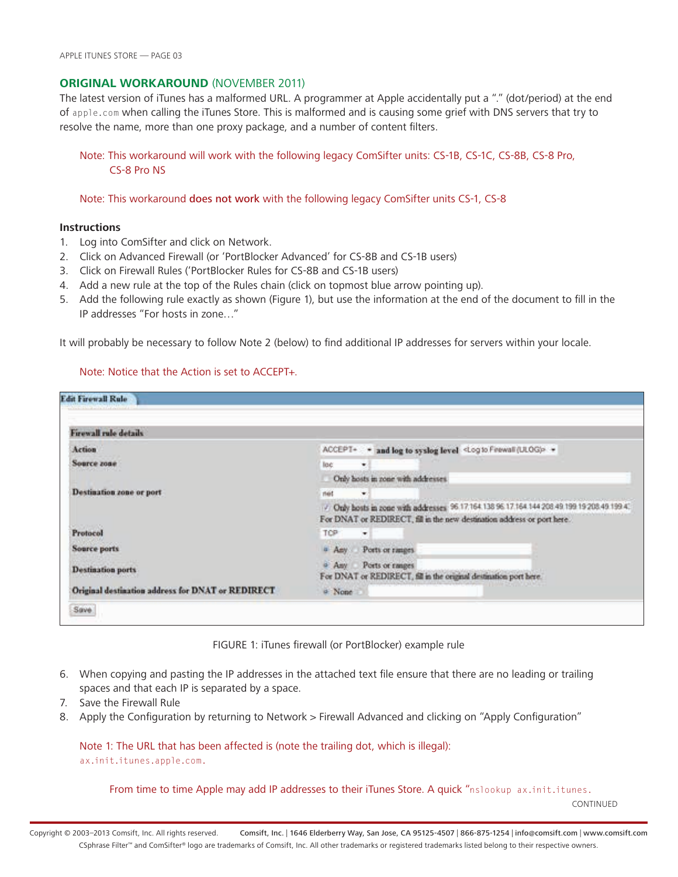# **ORIGINAL WORKAROUND (NOVEMBER 2011)**

The latest version of iTunes has a malformed URL. A programmer at Apple accidentally put a "." (dot/period) at the end of apple.com when calling the iTunes Store. This is malformed and is causing some grief with DNS servers that try to resolve the name, more than one proxy package, and a number of content filters.

Note: This workaround will work with the following legacy ComSifter units: CS-1B, CS-1C, CS-8B, CS-8 Pro, CS-8 Pro NS

Note: This workaround does not work with the following legacy ComSifter units CS-1, CS-8

### **Instructions**

- 1. Log into ComSifter and click on Network.
- 2. Click on Advanced Firewall (or 'PortBlocker Advanced' for CS-8B and CS-1B users)
- 3. Click on Firewall Rules ('PortBlocker Rules for CS-8B and CS-1B users)
- 4. Add a new rule at the top of the Rules chain (click on topmost blue arrow pointing up).
- 5. Add the following rule exactly as shown (Figure 1), but use the information at the end of the document to fill in the IP addresses "For hosts in zone…"

It will probably be necessary to follow Note 2 (below) to find additional IP addresses for servers within your locale.

# Note: Notice that the Action is set to ACCEPT+.

| Firewall rule details                             |                                                                                                                                                                        |
|---------------------------------------------------|------------------------------------------------------------------------------------------------------------------------------------------------------------------------|
| Action                                            | ACCEPT- . and log to syslog level <log (ulog)="" feewall="" to=""> +</log>                                                                                             |
| Source zone                                       | loc<br>×                                                                                                                                                               |
|                                                   | Only hosts in zone with addresses.                                                                                                                                     |
| Destination zone or port                          | net<br>$\blacksquare$                                                                                                                                                  |
|                                                   | / Only hosts in zone with addresses 96 17 164 138 96 17 164 144 208 49 199 19 208 49 199 41<br>For DNAT or REDIRECT, fill in the new destination address or port here. |
| Protocol                                          | TCP:<br>$\blacksquare$                                                                                                                                                 |
| Source ports                                      | Ports or ranges.<br>a Asy                                                                                                                                              |
| <b>Destination ports</b>                          | $4.$ Amy<br>Ports or ranges<br>For DNAT or REDIRECT, fill in the original destination port here.                                                                       |
| Original destination address for DNAT or REDIRECT | a None                                                                                                                                                                 |

FIGURE 1: iTunes firewall (or PortBlocker) example rule

- 6. When copying and pasting the IP addresses in the attached text file ensure that there are no leading or trailing spaces and that each IP is separated by a space.
- 7. Save the Firewall Rule
- 8. Apply the Configuration by returning to Network > Firewall Advanced and clicking on "Apply Configuration"

Note 1: The URL that has been affected is (note the trailing dot, which is illegal): ax.init.itunes.apple.com.

From time to time Apple may add IP addresses to their iTunes Store. A quick "nslookup ax.init.itunes.

CONTINUED